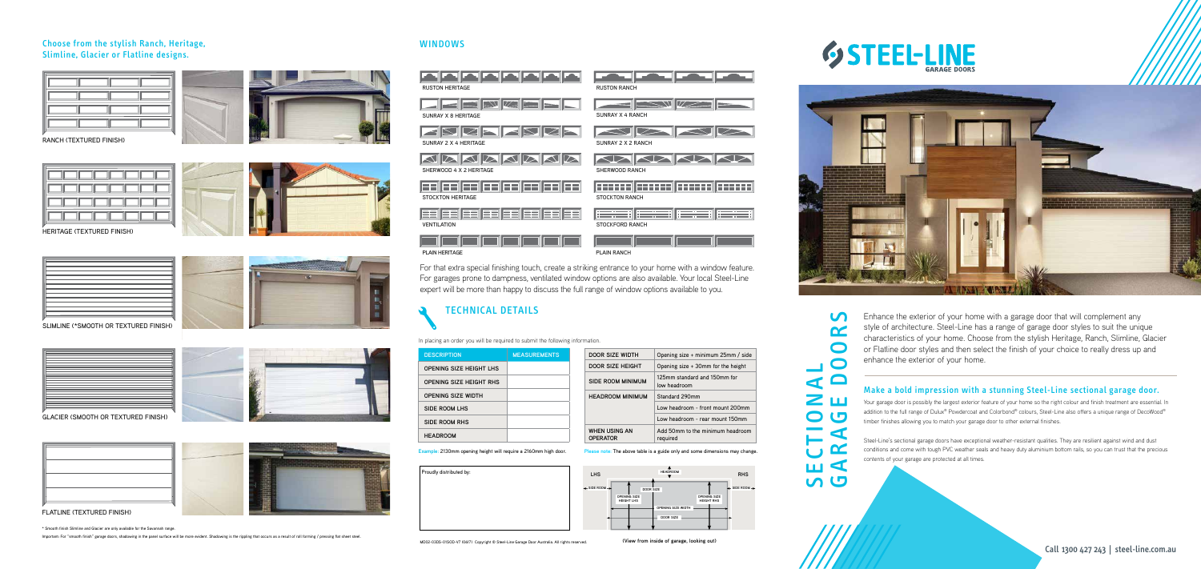**(View from inside of garage, looking out)**

**Example**: 2130mm opening height will require a 2160mm high door.

**Please note**: The above table is a guide only and some dimensions may change.



In placing an order you will be required to submit the following information.

| Proudly distributed by: | <b>LHS</b>                              |
|-------------------------|-----------------------------------------|
|                         | $\triangleleft$ SIDE ROOM $\rightarrow$ |
|                         |                                         |
|                         |                                         |



#### WINDOWS

SECTIONAL  $\bigcirc$ 

C

For that extra special finishing touch, create a striking entrance to your home with a window feature. For garages prone to dampness, ventilated window options are also available. Your local Steel-Line expert will be more than happy to discuss the full range of window options available to you.

> Enhance the exterior of your home with a garage door that will complement any<br>style of architecture. Steel-Line has a range of garage door styles to suit the unic<br>chracteristics of your home. Choose from the stylish Herita style of architecture. Steel-Line has a range of garage door styles to suit the unique characteristics of your home. Choose from the stylish Heritage, Ranch, Slimline, Glacier or Flatline door styles and then select the finish of your choice to really dress up and enhance the exterior of your home.







RANCH (TEXTURED FINISH)



GLACIER (SMOOTH OR TEXTURED FINISH)





FLATLINE (TEXTURED FINISH)

SLIMLINE (\*SMOOTH OR TEXTURED FINISH)





HERITAGE (TEXTURED FINISH)



#### Choose from the stylish Ranch, Heritage, Slimline, Glacier or Flatline designs.



\* Smooth finish Slimline and Glacier are only available for the Savannah range.

Important: For "smooth finish" garage doors, shadowing in the panel surface will be more evident. Shadowing is the rippling that occurs as a result of roll forming / pressing flat sheet steel.



| <b>DESCRIPTION</b>             | <b>MEASUREMENTS</b> | DOOR SIZE WIDTH                         | Opening size + minimum 25mm / side           |
|--------------------------------|---------------------|-----------------------------------------|----------------------------------------------|
| <b>OPENING SIZE HEIGHT LHS</b> |                     | DOOR SIZE HEIGHT                        | Opening size + 30mm for the height           |
| OPENING SIZE HEIGHT RHS        |                     | SIDE ROOM MINIMUM                       | 125mm standard and 150mm for<br>low headroom |
| <b>OPENING SIZE WIDTH</b>      |                     | <b>HEADROOM MINIMUM</b>                 | Standard 290mm                               |
| SIDE ROOM LHS                  |                     |                                         | Low headroom - front mount 200mm             |
| SIDE ROOM RHS                  |                     |                                         | Low headroom - rear mount 150mm              |
| <b>HEADROOM</b>                |                     | <b>WHEN USING AN</b><br><b>OPERATOR</b> | Add 50mm to the minimum headroom<br>required |

Call 1300 427 243 | steel-line.com.au

#### Make a bold impression with a stunning Steel-Line sectional garage door.

Your garage door is possibly the largest exterior feature of your home so the right colour and finish treatment are essential. In addition to the full range of Dulux® Powdercoat and Colorbond® colours, Steel-Line also offers a unique range of DecoWood® timber finishes allowing you to match your garage door to other external finishes.

Steel-Line's sectional garage doors have exceptional weather-resistant qualities. They are resilient against wind and dust conditions and come with tough PVC weather seals and heavy duty aluminium bottom rails, so you can trust that the precious contents of your garage are protected at all times.